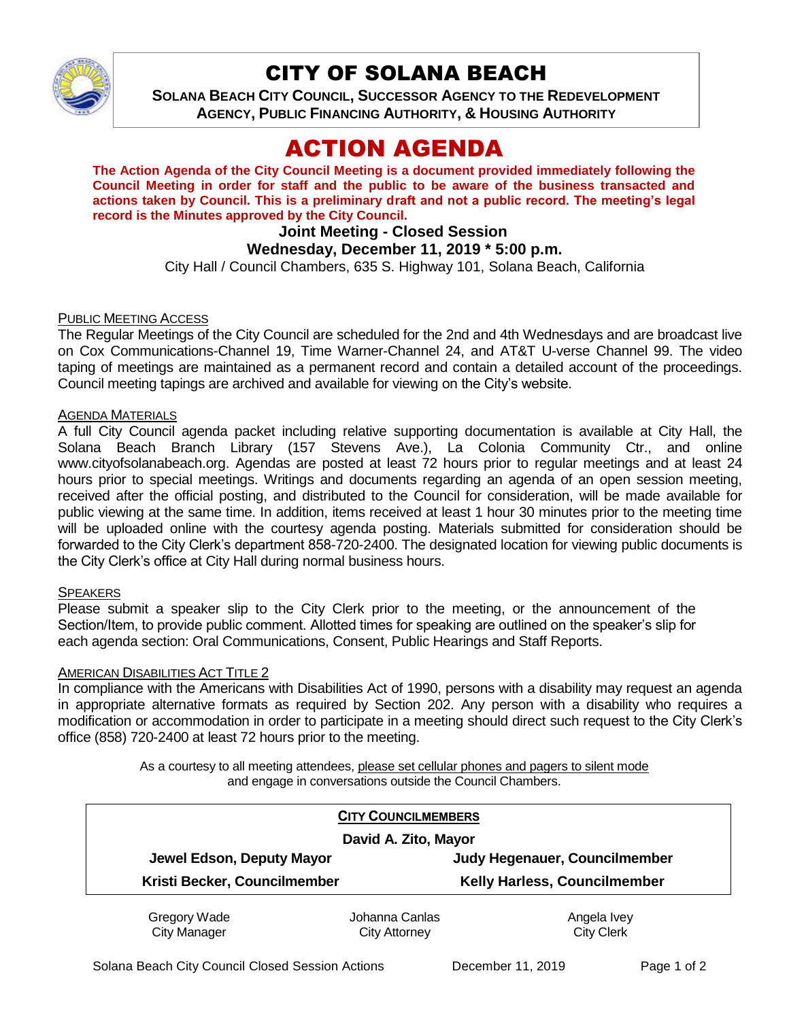

## CITY OF SOLANA BEACH

**SOLANA BEACH CITY COUNCIL, SUCCESSOR AGENCY TO THE REDEVELOPMENT AGENCY, PUBLIC FINANCING AUTHORITY, & HOUSING AUTHORITY** 

# ACTION AGENDA

**The Action Agenda of the City Council Meeting is a document provided immediately following the Council Meeting in order for staff and the public to be aware of the business transacted and actions taken by Council. This is a preliminary draft and not a public record. The meeting's legal record is the Minutes approved by the City Council.**

## **Joint Meeting - Closed Session**

## **Wednesday, December 11, 2019 \* 5:00 p.m.**

City Hall / Council Chambers, 635 S. Highway 101, Solana Beach, California

#### PUBLIC MEETING ACCESS

The Regular Meetings of the City Council are scheduled for the 2nd and 4th Wednesdays and are broadcast live on Cox Communications-Channel 19, Time Warner-Channel 24, and AT&T U-verse Channel 99. The video taping of meetings are maintained as a permanent record and contain a detailed account of the proceedings. Council meeting tapings are archived and available for viewing on the City's website.

#### AGENDA MATERIALS

A full City Council agenda packet including relative supporting documentation is available at City Hall, the Solana Beach Branch Library (157 Stevens Ave.), La Colonia Community Ctr., and online www.cityofsolanabeach.org. Agendas are posted at least 72 hours prior to regular meetings and at least 24 hours prior to special meetings. Writings and documents regarding an agenda of an open session meeting, received after the official posting, and distributed to the Council for consideration, will be made available for public viewing at the same time. In addition, items received at least 1 hour 30 minutes prior to the meeting time will be uploaded online with the courtesy agenda posting. Materials submitted for consideration should be forwarded to the City Clerk's department 858-720-2400. The designated location for viewing public documents is the City Clerk's office at City Hall during normal business hours.

#### **SPEAKERS**

Please submit a speaker slip to the City Clerk prior to the meeting, or the announcement of the Section/Item, to provide public comment. Allotted times for speaking are outlined on the speaker's slip for each agenda section: Oral Communications, Consent, Public Hearings and Staff Reports.

#### **AMERICAN DISABILITIES ACT TITLE 2**

In compliance with the Americans with Disabilities Act of 1990, persons with a disability may request an agenda in appropriate alternative formats as required by Section 202. Any person with a disability who requires a modification or accommodation in order to participate in a meeting should direct such request to the City Clerk's office (858) 720-2400 at least 72 hours prior to the meeting.

> As a courtesy to all meeting attendees, please set cellular phones and pagers to silent mode and engage in conversations outside the Council Chambers.

| <b>CITY COUNCILMEMBERS</b><br>David A. Zito, Mayor |                |                                     |
|----------------------------------------------------|----------------|-------------------------------------|
| Jewel Edson, Deputy Mayor                          |                | Judy Hegenauer, Councilmember       |
| Kristi Becker, Councilmember                       |                | <b>Kelly Harless, Councilmember</b> |
| Gregory Wade                                       | Johanna Canlas | Angela Ivey                         |

City Manager

Johanna Canlas City Attorney

City Clerk